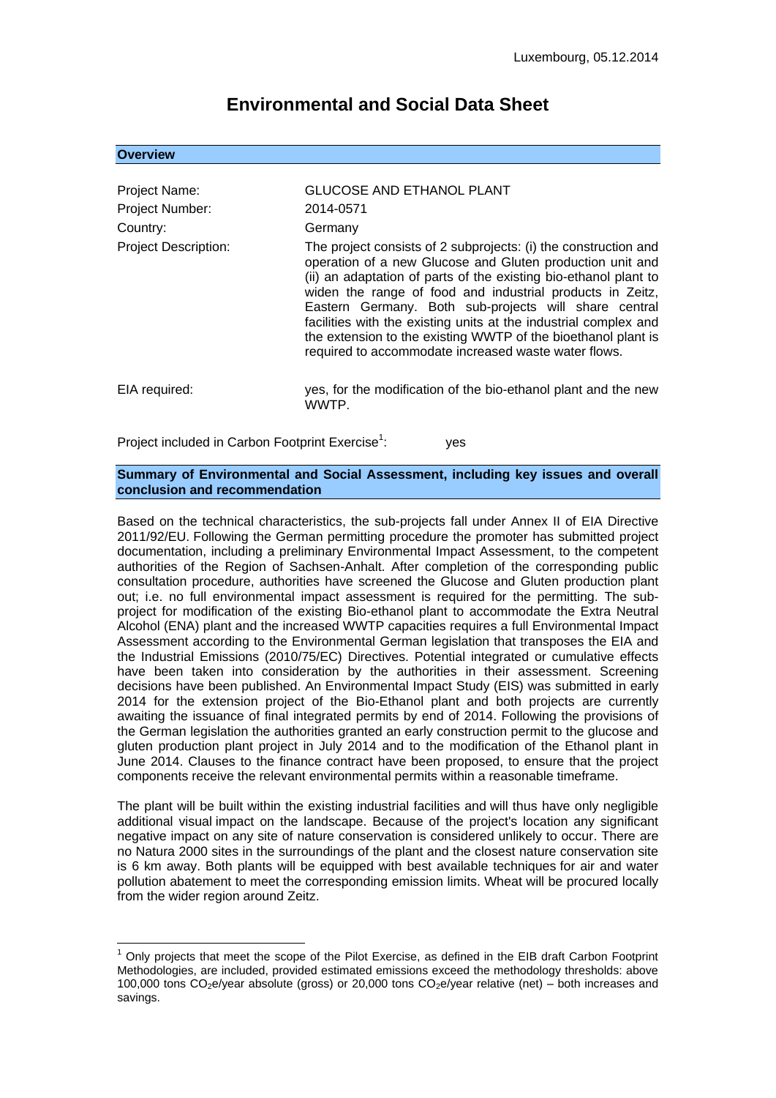# **Environmental and Social Data Sheet**

#### **Overview**

1

| Project Name:<br><b>Project Number:</b> | <b>GLUCOSE AND ETHANOL PLANT</b><br>2014-0571                                                                                                                                                                                                                                                                                                                                                                                                                                                                       |
|-----------------------------------------|---------------------------------------------------------------------------------------------------------------------------------------------------------------------------------------------------------------------------------------------------------------------------------------------------------------------------------------------------------------------------------------------------------------------------------------------------------------------------------------------------------------------|
| Country:                                | Germany                                                                                                                                                                                                                                                                                                                                                                                                                                                                                                             |
| <b>Project Description:</b>             | The project consists of 2 subprojects: (i) the construction and<br>operation of a new Glucose and Gluten production unit and<br>(ii) an adaptation of parts of the existing bio-ethanol plant to<br>widen the range of food and industrial products in Zeitz,<br>Eastern Germany. Both sub-projects will share central<br>facilities with the existing units at the industrial complex and<br>the extension to the existing WWTP of the bioethanol plant is<br>required to accommodate increased waste water flows. |
| EIA required:                           | yes, for the modification of the bio-ethanol plant and the new<br>WWTP.                                                                                                                                                                                                                                                                                                                                                                                                                                             |

Project included in Carbon Footprint Exercise<sup>1</sup>: : yes

#### **Summary of Environmental and Social Assessment, including key issues and overall conclusion and recommendation**

Based on the technical characteristics, the sub-projects fall under Annex II of EIA Directive 2011/92/EU. Following the German permitting procedure the promoter has submitted project documentation, including a preliminary Environmental Impact Assessment, to the competent authorities of the Region of Sachsen-Anhalt. After completion of the corresponding public consultation procedure, authorities have screened the Glucose and Gluten production plant out; i.e. no full environmental impact assessment is required for the permitting. The subproject for modification of the existing Bio-ethanol plant to accommodate the Extra Neutral Alcohol (ENA) plant and the increased WWTP capacities requires a full Environmental Impact Assessment according to the Environmental German legislation that transposes the EIA and the Industrial Emissions (2010/75/EC) Directives. Potential integrated or cumulative effects have been taken into consideration by the authorities in their assessment. Screening decisions have been published. An Environmental Impact Study (EIS) was submitted in early 2014 for the extension project of the Bio-Ethanol plant and both projects are currently awaiting the issuance of final integrated permits by end of 2014. Following the provisions of the German legislation the authorities granted an early construction permit to the glucose and gluten production plant project in July 2014 and to the modification of the Ethanol plant in June 2014. Clauses to the finance contract have been proposed, to ensure that the project components receive the relevant environmental permits within a reasonable timeframe.

The plant will be built within the existing industrial facilities and will thus have only negligible additional visual impact on the landscape. Because of the project's location any significant negative impact on any site of nature conservation is considered unlikely to occur. There are no Natura 2000 sites in the surroundings of the plant and the closest nature conservation site is 6 km away. Both plants will be equipped with best available techniques for air and water pollution abatement to meet the corresponding emission limits. Wheat will be procured locally from the wider region around Zeitz.

 $1$  Only projects that meet the scope of the Pilot Exercise, as defined in the EIB draft Carbon Footprint Methodologies, are included, provided estimated emissions exceed the methodology thresholds: above 100,000 tons  $CO<sub>2</sub>e/year$  absolute (gross) or 20,000 tons  $CO<sub>2</sub>e/year$  relative (net) – both increases and savings.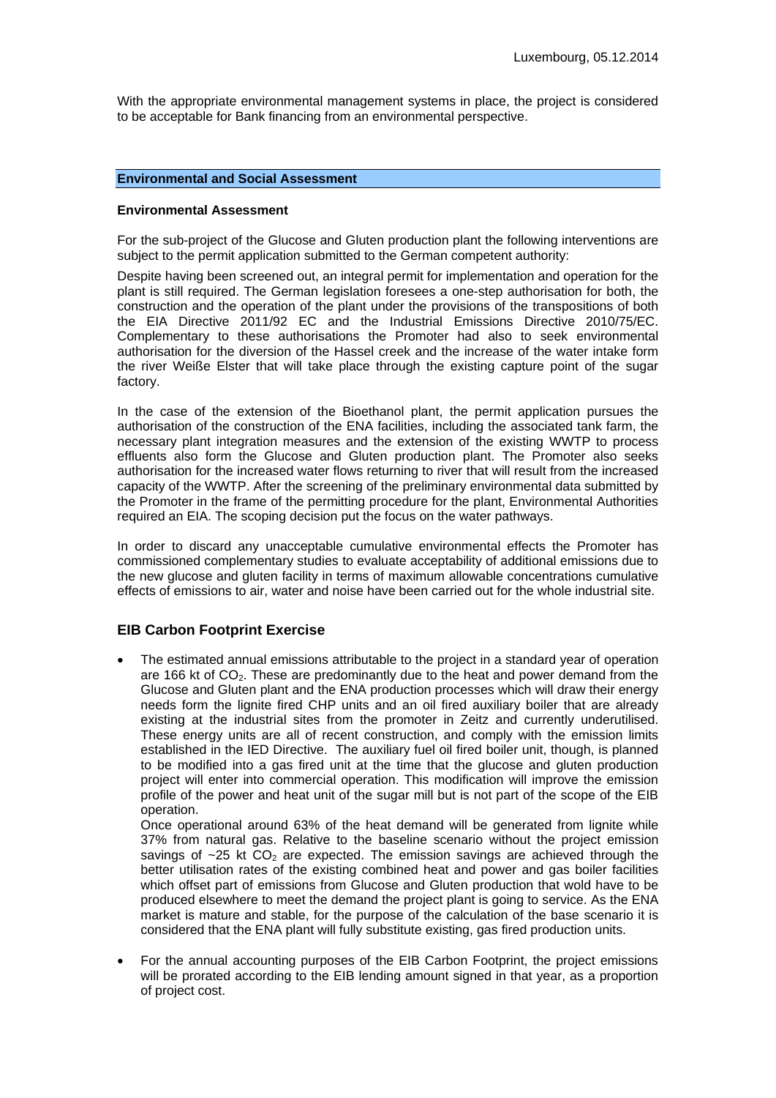With the appropriate environmental management systems in place, the project is considered to be acceptable for Bank financing from an environmental perspective.

## **Environmental and Social Assessment**

#### **Environmental Assessment**

For the sub-project of the Glucose and Gluten production plant the following interventions are subject to the permit application submitted to the German competent authority:

Despite having been screened out, an integral permit for implementation and operation for the plant is still required. The German legislation foresees a one-step authorisation for both, the construction and the operation of the plant under the provisions of the transpositions of both the EIA Directive 2011/92 EC and the Industrial Emissions Directive 2010/75/EC. Complementary to these authorisations the Promoter had also to seek environmental authorisation for the diversion of the Hassel creek and the increase of the water intake form the river Weiße Elster that will take place through the existing capture point of the sugar factory.

In the case of the extension of the Bioethanol plant, the permit application pursues the authorisation of the construction of the ENA facilities, including the associated tank farm, the necessary plant integration measures and the extension of the existing WWTP to process effluents also form the Glucose and Gluten production plant. The Promoter also seeks authorisation for the increased water flows returning to river that will result from the increased capacity of the WWTP. After the screening of the preliminary environmental data submitted by the Promoter in the frame of the permitting procedure for the plant, Environmental Authorities required an EIA. The scoping decision put the focus on the water pathways.

In order to discard any unacceptable cumulative environmental effects the Promoter has commissioned complementary studies to evaluate acceptability of additional emissions due to the new glucose and gluten facility in terms of maximum allowable concentrations cumulative effects of emissions to air, water and noise have been carried out for the whole industrial site.

## **EIB Carbon Footprint Exercise**

 The estimated annual emissions attributable to the project in a standard year of operation are 166 kt of CO<sub>2</sub>. These are predominantly due to the heat and power demand from the Glucose and Gluten plant and the ENA production processes which will draw their energy needs form the lignite fired CHP units and an oil fired auxiliary boiler that are already existing at the industrial sites from the promoter in Zeitz and currently underutilised. These energy units are all of recent construction, and comply with the emission limits established in the IED Directive. The auxiliary fuel oil fired boiler unit, though, is planned to be modified into a gas fired unit at the time that the glucose and gluten production project will enter into commercial operation. This modification will improve the emission profile of the power and heat unit of the sugar mill but is not part of the scope of the EIB operation.

Once operational around 63% of the heat demand will be generated from lignite while 37% from natural gas. Relative to the baseline scenario without the project emission savings of  $\sim$ 25 kt  $CO<sub>2</sub>$  are expected. The emission savings are achieved through the better utilisation rates of the existing combined heat and power and gas boiler facilities which offset part of emissions from Glucose and Gluten production that wold have to be produced elsewhere to meet the demand the project plant is going to service. As the ENA market is mature and stable, for the purpose of the calculation of the base scenario it is considered that the ENA plant will fully substitute existing, gas fired production units.

 For the annual accounting purposes of the EIB Carbon Footprint, the project emissions will be prorated according to the EIB lending amount signed in that year, as a proportion of project cost.